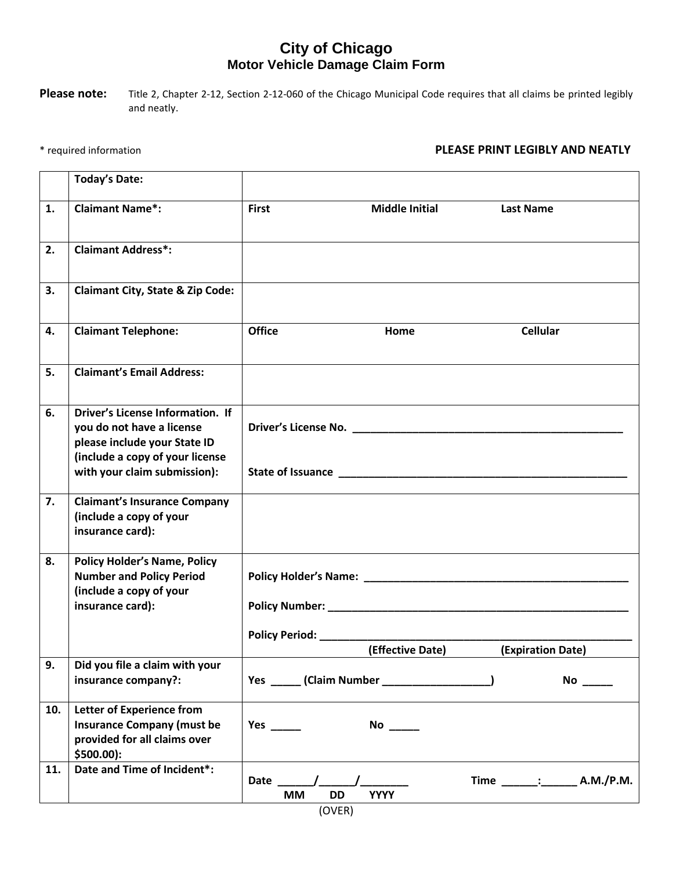## **City of Chicago Motor Vehicle Damage Claim Form**

Please note: Title 2, Chapter 2-12, Section 2-12-060 of the Chicago Municipal Code requires that all claims be printed legibly and neatly.

## \* required information **PLEASE PRINT LEGIBLY AND NEATLY**

|     | <b>Today's Date:</b>                                                                                                                                                    |                                                                               |
|-----|-------------------------------------------------------------------------------------------------------------------------------------------------------------------------|-------------------------------------------------------------------------------|
| 1.  | <b>Claimant Name*:</b>                                                                                                                                                  | <b>First</b><br><b>Middle Initial</b><br><b>Last Name</b>                     |
| 2.  | <b>Claimant Address*:</b>                                                                                                                                               |                                                                               |
| 3.  | <b>Claimant City, State &amp; Zip Code:</b>                                                                                                                             |                                                                               |
| 4.  | <b>Claimant Telephone:</b>                                                                                                                                              | <b>Office</b><br><b>Cellular</b><br>Home                                      |
| 5.  | <b>Claimant's Email Address:</b>                                                                                                                                        |                                                                               |
| 6.  | <b>Driver's License Information. If</b><br>you do not have a license<br>please include your State ID<br>(include a copy of your license<br>with your claim submission): |                                                                               |
| 7.  | <b>Claimant's Insurance Company</b><br>(include a copy of your<br>insurance card):                                                                                      |                                                                               |
| 8.  | <b>Policy Holder's Name, Policy</b><br><b>Number and Policy Period</b><br>(include a copy of your<br>insurance card):                                                   | Policy Period: _________<br>(Effective Date)<br>(Expiration Date)             |
| 9.  | Did you file a claim with your<br>insurance company?:                                                                                                                   |                                                                               |
| 10. | <b>Letter of Experience from</b><br><b>Insurance Company (must be</b><br>provided for all claims over<br>\$500.00):                                                     | Yes $\_\_\_\_\_\_\_\$                                                         |
| 11. | Date and Time of Incident*:                                                                                                                                             | Time ______: ________ A.M./P.M.<br>Date $\sqrt{ }$<br>DD<br><b>YYYY</b><br>МM |